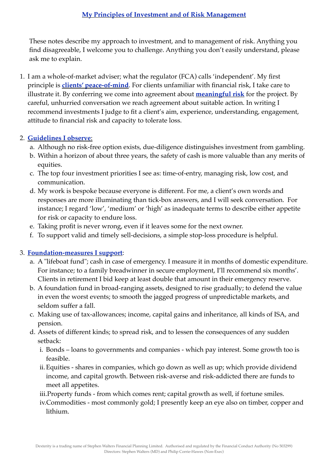These notes describe my approach to investment, and to management of risk. Anything you find disagreeable, I welcome you to challenge. Anything you don't easily understand, please ask me to explain.

1. I am a whole-of-market adviser; what the regulator (FCA) calls 'independent'. My first principle is **clients' peace-of-mind**. For clients unfamiliar with financial risk, I take care to illustrate it. By conferring we come into agreement about **meaningful risk** for the project. By careful, unhurried conversation we reach agreement about suitable action. In writing I recommend investments I judge to fit a client's aim, experience, understanding, engagement, attitude to financial risk and capacity to tolerate loss.

## 2. **Guidelines I observe**:

- a. Although no risk-free option exists, due-diligence distinguishes investment from gambling.
- b. Within a horizon of about three years, the safety of cash is more valuable than any merits of equities.
- c. The top four investment priorities I see as: time-of-entry, managing risk, low cost, and communication.
- d. My work is bespoke because everyone is different. For me, a client's own words and responses are more illuminating than tick-box answers, and I will seek conversation. For instance; I regard 'low', 'medium' or 'high' as inadequate terms to describe either appetite for risk or capacity to endure loss.
- e. Taking profit is never wrong, even if it leaves some for the next owner.
- f. To support valid and timely sell-decisions, a simple stop-loss procedure is helpful.

## 3. **Foundation-measures I support**:

- a. A "lifeboat fund"; cash in case of emergency. I measure it in months of domestic expenditure. For instance; to a family breadwinner in secure employment, I'll recommend six months'. Clients in retirement I bid keep at least double that amount in their emergency reserve.
- b. A foundation fund in broad-ranging assets, designed to rise gradually; to defend the value in even the worst events; to smooth the jagged progress of unpredictable markets, and seldom suffer a fall.
- c. Making use of tax-allowances; income, capital gains and inheritance, all kinds of ISA, and pension.
- d. Assets of different kinds; to spread risk, and to lessen the consequences of any sudden setback:
	- i. Bonds loans to governments and companies which pay interest. Some growth too is feasible.
	- ii.Equities shares in companies, which go down as well as up; which provide dividend income, and capital growth. Between risk-averse and risk-addicted there are funds to meet all appetites.
	- iii.Property funds from which comes rent; capital growth as well, if fortune smiles.
	- iv.Commodities most commonly gold; I presently keep an eye also on timber, copper and lithium.